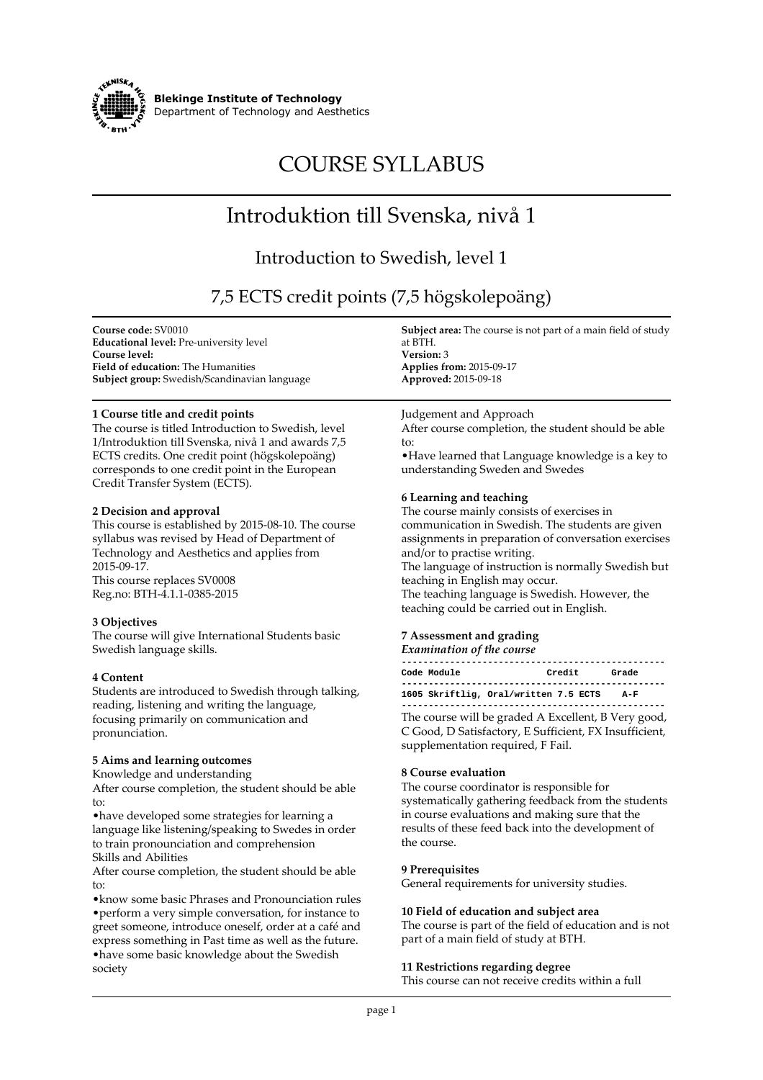

**Blekinge Institute of Technology Department of Technology and Aesthetics**

# **COURSE SYLLABUS**

## **Introduktion till Svenska, nivå 1**

### **Introduction to Swedish, level 1**

**7,5 ECTS credit points (7,5 högskolepoäng)**

**Course code: SV0010 Educational level: Pre-university level Course level: Field of education: The Humanities Subject group: Swedish/Scandinavian language**

#### **1 Course title and credit points**

**The course is titled Introduction to Swedish, level 1/Introduktion till Svenska, nivå 1 and awards 7,5 ECTS credits. One credit point (högskolepoäng) corresponds to one credit point in the European Credit Transfer System (ECTS).**

#### **2 Decision and approval**

**This course is established by 2015-08-10. The course syllabus was revised by Head of Department of Technology and Aesthetics and applies from 2015-09-17.**

**This course replaces SV0008 Reg.no: BTH-4.1.1-0385-2015**

#### **3 Objectives**

**The course will give International Students basic Swedish language skills.**

#### **4 Content**

**Students are introduced to Swedish through talking, reading, listening and writing the language, focusing primarily on communication and pronunciation.**

#### **5 Aims and learning outcomes**

**Knowledge and understanding**

**After course completion, the student should be able to:**

**•have developed some strategies for learning a language like listening/speaking to Swedes in order to train pronounciation and comprehension Skills and Abilities**

**After course completion, the student should be able to:**

**•know some basic Phrases and Pronounciation rules •perform a very simple conversation, for instance to greet someone, introduce oneself, order at a café and express something in Past time as well as the future. •have some basic knowledge about the Swedish society**

**Subject area: The course is not part of a main field of study at BTH. Version: 3**

**Applies from: 2015-09-17 Approved: 2015-09-18**

#### **Judgement and Approach**

**After course completion, the student should be able to:**

**•Have learned that Language knowledge is a key to understanding Sweden and Swedes**

#### **6 Learning and teaching**

**The course mainly consists of exercises in communication in Swedish. The students are given assignments in preparation of conversation exercises and/or to practise writing.**

**The language of instruction is normally Swedish but teaching in English may occur.**

**The teaching language is Swedish. However, the teaching could be carried out in English.**

#### **7 Assessment and grading**

*Examination of the course*

| Code Module | Credit                                | Grade      |  |
|-------------|---------------------------------------|------------|--|
|             | 1605 Skriftlig, Oral/written 7.5 ECTS | <b>A-F</b> |  |

**The course will be graded A Excellent, B Very good, C Good, D Satisfactory, E Sufficient, FX Insufficient, supplementation required, F Fail.**

#### **8 Course evaluation**

**The course coordinator is responsible for systematically gathering feedback from the students in course evaluations and making sure that the results of these feed back into the development of the course.**

#### **9 Prerequisites**

**General requirements for university studies.**

#### **10 Field of education and subject area**

**The course is part of the field of education and is not part of a main field of study at BTH.**

#### **11 Restrictions regarding degree**

**This course can not receive credits within a full**